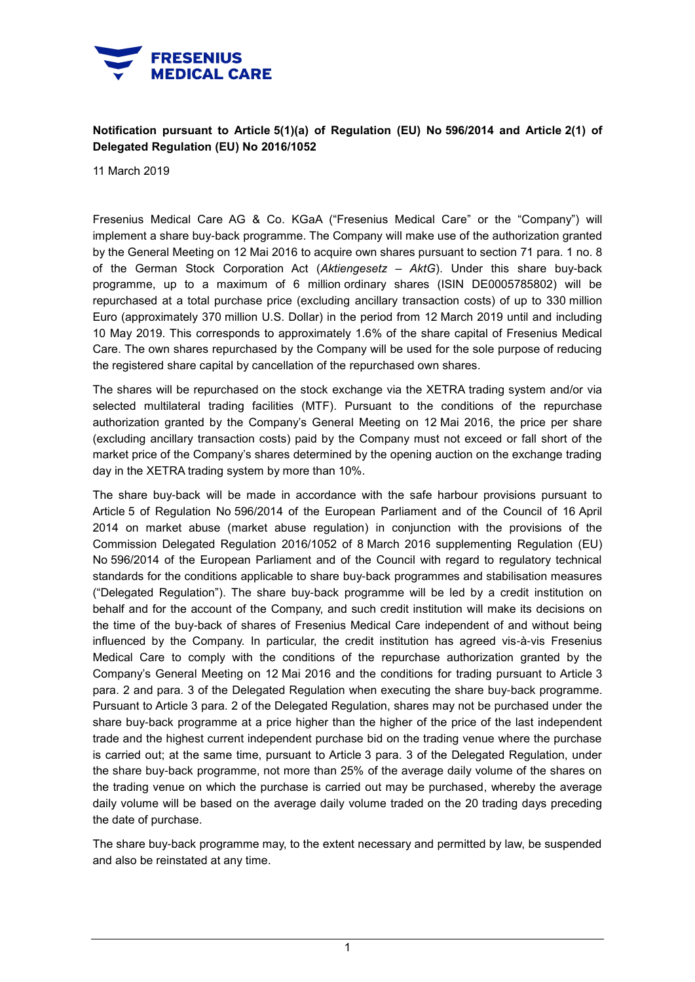

## **Notification pursuant to Article 5(1)(a) of Regulation (EU) No 596/2014 and Article 2(1) of Delegated Regulation (EU) No 2016/1052**

11 March 2019

Fresenius Medical Care AG & Co. KGaA ("Fresenius Medical Care" or the "Company") will implement a share buy-back programme. The Company will make use of the authorization granted by the General Meeting on 12 Mai 2016 to acquire own shares pursuant to section 71 para. 1 no. 8 of the German Stock Corporation Act (*Aktiengesetz – AktG*). Under this share buy-back programme, up to a maximum of 6 million ordinary shares (ISIN DE0005785802) will be repurchased at a total purchase price (excluding ancillary transaction costs) of up to 330 million Euro (approximately 370 million U.S. Dollar) in the period from 12 March 2019 until and including 10 May 2019. This corresponds to approximately 1.6% of the share capital of Fresenius Medical Care. The own shares repurchased by the Company will be used for the sole purpose of reducing the registered share capital by cancellation of the repurchased own shares.

The shares will be repurchased on the stock exchange via the XETRA trading system and/or via selected multilateral trading facilities (MTF). Pursuant to the conditions of the repurchase authorization granted by the Company's General Meeting on 12 Mai 2016, the price per share (excluding ancillary transaction costs) paid by the Company must not exceed or fall short of the market price of the Company's shares determined by the opening auction on the exchange trading day in the XETRA trading system by more than 10%.

The share buy-back will be made in accordance with the safe harbour provisions pursuant to Article 5 of Regulation No 596/2014 of the European Parliament and of the Council of 16 April 2014 on market abuse (market abuse regulation) in conjunction with the provisions of the Commission Delegated Regulation 2016/1052 of 8 March 2016 supplementing Regulation (EU) No 596/2014 of the European Parliament and of the Council with regard to regulatory technical standards for the conditions applicable to share buy-back programmes and stabilisation measures ("Delegated Regulation"). The share buy-back programme will be led by a credit institution on behalf and for the account of the Company, and such credit institution will make its decisions on the time of the buy-back of shares of Fresenius Medical Care independent of and without being influenced by the Company. In particular, the credit institution has agreed vis-à-vis Fresenius Medical Care to comply with the conditions of the repurchase authorization granted by the Company's General Meeting on 12 Mai 2016 and the conditions for trading pursuant to Article 3 para. 2 and para. 3 of the Delegated Regulation when executing the share buy-back programme. Pursuant to Article 3 para. 2 of the Delegated Regulation, shares may not be purchased under the share buy-back programme at a price higher than the higher of the price of the last independent trade and the highest current independent purchase bid on the trading venue where the purchase is carried out; at the same time, pursuant to Article 3 para. 3 of the Delegated Regulation, under the share buy-back programme, not more than 25% of the average daily volume of the shares on the trading venue on which the purchase is carried out may be purchased, whereby the average daily volume will be based on the average daily volume traded on the 20 trading days preceding the date of purchase.

The share buy-back programme may, to the extent necessary and permitted by law, be suspended and also be reinstated at any time.